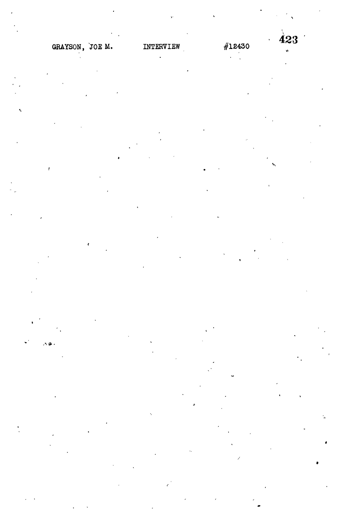ی و.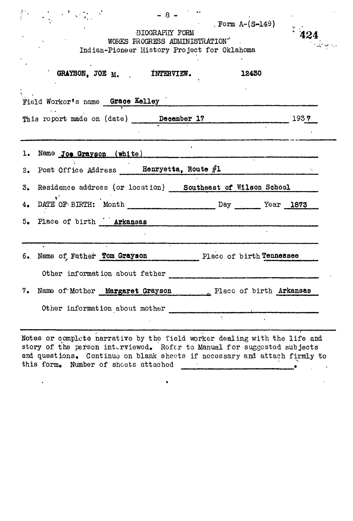# , Form A-(S-149) *v ,* •BIOGRAPHY FORM \* **404** WORKS PROGRESS ADMINISTRATION" Indian-Pioneer History Project for Oklahoma

v

|                                  | GRAYSON, JOE $_M$ . INTERVIEW.                                |  | 12430 |
|----------------------------------|---------------------------------------------------------------|--|-------|
| Field Workor's name Grace Kelley |                                                               |  |       |
|                                  | This report made on (date) December 17                        |  | 1937  |
|                                  |                                                               |  |       |
|                                  | 1. Name Joe Grayson (white)                                   |  |       |
|                                  | 2. Post Office Address Henryetta, Route $#1$                  |  |       |
|                                  | 3. Residence address (or location) Southeast of Wilson School |  |       |
|                                  | 4. DATE OF BIRTH: Month Day Day Year 1873                     |  |       |
|                                  | 5. Place of birth <b>Arkansas</b>                             |  |       |
|                                  |                                                               |  |       |
|                                  | 6. Name of Father Tom Grayson Place of birth Tennessee        |  |       |
|                                  | Other information about father                                |  |       |
|                                  | 7. Name of Mother Margaret Grayson Place of birth Arkansas    |  |       |
|                                  | Other information about mother                                |  |       |
|                                  |                                                               |  |       |

Notes or complete narrative by the field worker dealing with the life and story of the person interviewed. Refer to Manual for suggested subjects and questions. Continue on blank sheets if necessary and attach firmly to this form. Number of sheets attached  $\qquad$   $\qquad$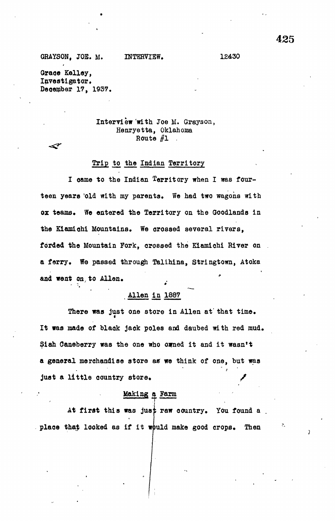**Grace Kelley, Investigator, Deoember 17, 1937.**

⋖

## **Interview with Joe M. Grayson, Henryetta, Oklahoma** Route  $#1$

#### **Trip to the Indian Territory**

**I oame to the Indian Territory when I was fourteen years 'old with my parents. We had two wagons with** ox teams. We entered the Territory on the Goodlands in **the Kiamiohi Mountains. We orossed several rivers, forded the Mountain Fork, crossed the Kiamiohi River on a ferry. We passed through Talihina, Stringtown, Atoka** and went on, to Allen.

## **Allen in 1887**

**There was just one store in Allen at' that time. It was made of blaok jack poles and daubed with red mud. \$iah Caneberry was the one who owned it and it wasn't a general merchandise store as we think of one, but was** just a little country store.

## **Making a Farm**

**At first this was jus raw country\* You found a place that looked as if it uld make good crops\* Then**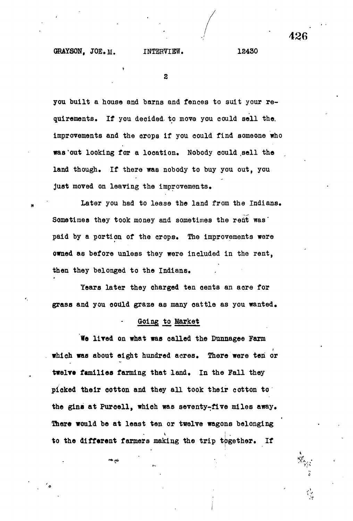$\overline{z}$ 

**you built a house and barns and fences to suit your requirements. If you deoided- to move you could sell the, improvements and the crops if you could find someone who was'out looking for a location. Nobody oould .sell the land though. If there was nobody to buy you out, you just moved on leaving the improvements.**

**Later you had to lease the land from the Indians. Sometimes they took money and sometimes the rent was' paid by a portion of the crops. The improvements were owned as before unless they were included in the rent, then they belonged to the Indians.**

**Years later they charged ten cents an acre for grass and you oould graze as many oattie as you wanted.**

### **Going to Market**

**We lived on what was called the Dunnagee Farm which was about eight hundred acres. There were ten or** twelve families farming that land. In the Fall they **picked their cotton and they all took their cotton to the gins at Puroell, which was seventy-five miles away. There would be at least ten or twelve wagons belonging ! to the different farmers making the trip together. If**

:••?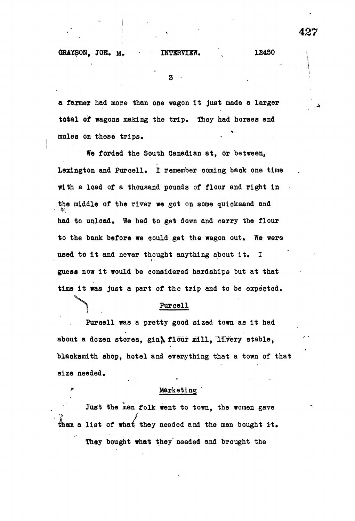3

**a farmer had more than one wagon It just made a larger** total of wagons making the trip. They had horses and **mules on these trips.**

**We forded the South Canadian at, or between, Lexington and Purcell. I remember coming back one time with a load of a thousand pounds of flour and right in** the middle of the river we got on some quicksand and **had to unload. We had to get down and carry the flour to the bank before we could get the wagon out. We were used to it and never thought anything about it. I guess now it would be considered hardships but at that** time it was just a part of the trip and to be expected.

#### **Purcell**

**Puroell was a pretty good sized town as it had** about a dozen stores, gin**)** flour mill, livery stable, **blacksmith shop, hotel and everything that a town of that size needed.**

#### Marketing

Just the men folk went to town, the women gave them a list of what they needed and the men bought it. They bought what they needed and brought the

**They bought what they' needed and brought the**

427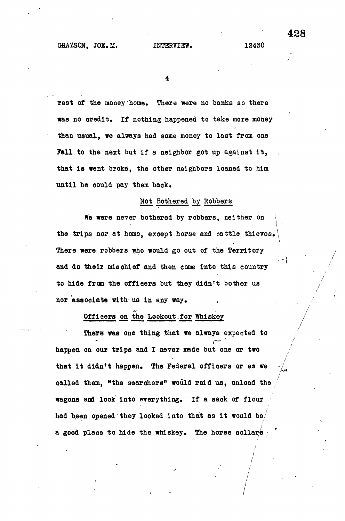**rest of the money home. There were no banks so there was no credit. If nothing happened to take more money than usual, we always had some money to last from one Fall to the next but if a neighbor got up against it, that is went broke, the other neighbors loaned to him until he oould pay them baok.**

## **Not Bothered by\_ Robbers**

**We were never bothered by robbers, neither on the trips nor at home, except horse and cattle thieves.\** There were robbers who would go out of the Territory and do their mischief and then come into this country to hide from the officers but they didn't bother us nor associate with us in any way.

## Officers on the Lookout for Whiskey

There was one thing that we always expected to happen on our trips and I never made but one or two that it didn't happen. The Federal officers or as we called them, "the searchers" would raid us, unload the oalled them, "the searchers" would raid ua, unload the wagons and look into everything. If a sack of flow into everything. If a sack of  $\tilde{I}$ had been opened they looked into the state into the state  $\frac{1}{2}$ 

a good plane to hide to hide the whiskey. The horse collars  $\frac{1}{2}$ 

**\**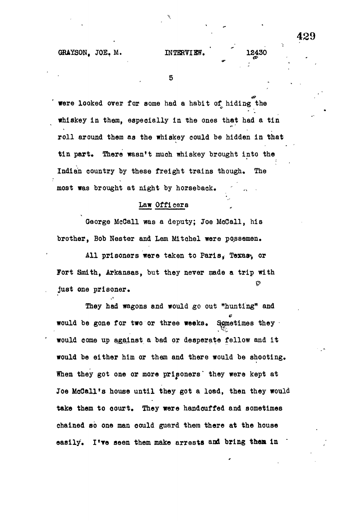**ir**

5

 $\overline{\mathscr{C}}$ 

**were looked over for some had a habit of hiding the whiskey in them, especially in the ones that had a tin roll around them as the whiskey could be hidden In that** tin part. There wasn't much whiskey brought into the **Indian country by these freight trains though. The** most was brought at night by horseback.

#### **Law Officers**

**George McOall was a deputy; Joe MoCall, his brother, Bob Hester and Lem Mitchel were ppssemen.**

All prisoners were taken to Paris, Texas, or Fort Smith, Arkansas, but they never made a trip with O **just one prisoner.**

**They had wagons and would go out "hunting" and** would be gone for two or three weeks. Sometimes they **would come up against a bad or desperate fellow and it would be either him or them and there would be shooting. When they got one or more prisoners' they were kept at Joe McCall's house until they got a load, then they would take them to court. They were handcuffed and sometimes chained so one man could guard them there at the house easily. I've seen them make arrests and bring then In**

**429**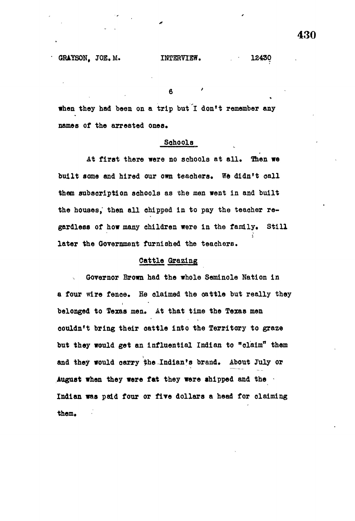**6**

**when they had been on a trip but I don't remember any** names of the arrested ones.

#### **Sohools**

**At first there were no schools at all. Then we built some and hired our own teachers. We didn't call them subscription sohools as the men went in and built** the houses, then all chipped in to pay the teacher regardless of how many children were in the family. Still **later the Government furnished the teachers.**

#### **Cattle Grazing**

**Governor Brown had the whole Seminole Nation in** a four wire fence. He claimed the cattle but really they belonged to Texas men. At that time the Texas men **couldn't bring their cattle into the Territory to graze but they would get an influential Indian to "olaim" them** and they would carry the Indian's brand. About July or **August when they were fat they were shipped and the Indian was paid four or five dollars a head for claiming** them.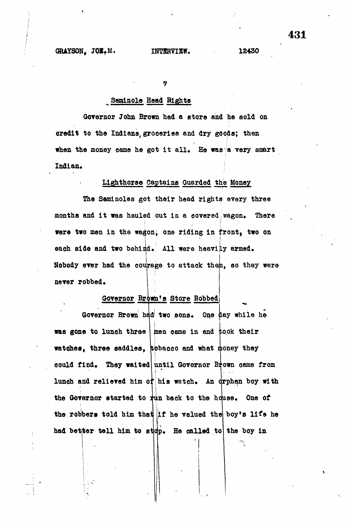## **Seminole Head Bights**

**Governor John Brown had a store and he sold on credit to the Indians, groceries and dry goods; then** when the money came he got it all. He was a very smart **Indian. j**

### **Lighthorse Captains Guarded the Money**

**The Seminoles got their head rights every three** months and it was hauled out in a covered wagon. There **were two men in the wagon; one riding in front, two on** each side and two behind. All were heavily armed. Nobody ever had the courage to attack them, so they were never robbed.

## **Governor Br6wn\*s Store Robbed**

Governor Brown had two sons. One day while he was gone to lunch three men came in and took their watches, three saddles, tobacco and what money they **could find. They waited until Governor Brown came from** lunch and relieved him of his watch. An orphan boy with the Governor started to tun back to the house. One of i the robbers told him that if he valued the boy's life he had better tell him to st**dp. He called to** the boy in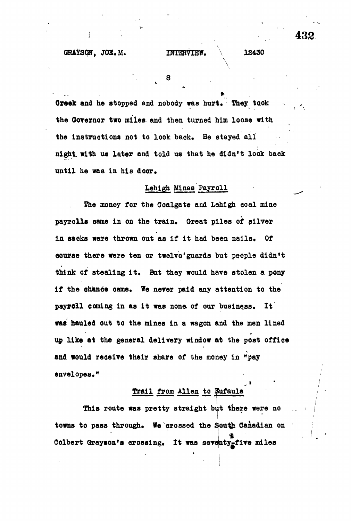"\

\* >

8

**, 8**

Greek and he stopped and nobody was hurt. They took **the Governor two miles and then turned him loose with the instructions not to look back. He stayed all night, with us later and told us that he didn't look baok until he was in his door.**

#### **Lehigh Mines Payroll**

**The money for the Goalgate and Lehigh ooal mine** payrolis came in on the train. Great piles of silver in sacks were thrown out as if it had been nails. Of **course there were ten or twelve'guards but people didn't** think of stealing it. But they would have stolen a pony **if the ehance oame. We never paid any attention to the** payroll coming in as it was none of our business. It **was hauled out to the mines in a wagon and the men lined** 4 up like at the general delivery window at the post office **up like at the general delivery window at the post offioe** and would receive their share of the money in "pay envelopes."

#### Trail from Allen to Bufaula **Trailers** <del>Marian Allenson</del> <del>Allen to foifall the foil</del>

This route was pretty straight but there were no **This route was pretty straight but there were no .. \** towns to pass through. We crossed the South Canadian on Colbert Grayson's crossing. It was seventy<sub>r</sub>five miles **t**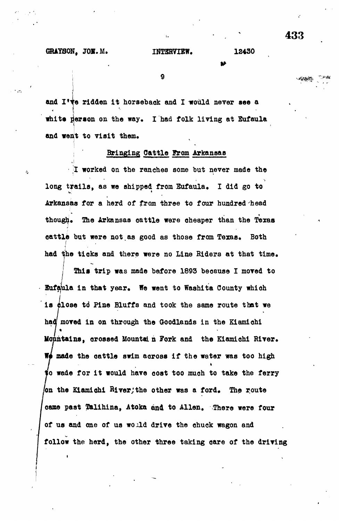**and went to visit them.**

9

and I've ridden it horseback and I would never see a **s which person on the way. I had folk living at Eufaula** and went to visit them.

#### Bringing Cattle From Arkansas

I worked on the ranches some but never made the **I worked on the ranches some but never made the** long trails, as we shipped from Eufaula. I did go to **long trails, as we shipped from Bufaula\* I did go to** Arkansas for a herd of from three to four hundred head **Arkansas for a herd of from three to four hundred'head** though. The Arkansas cattle were cheaper than the Texas **though\* The Arkansas cattle were oheaper than the Texas** cattle but were not as good as those from Texas. Both **oattle but were not as good as those from Texas\* Both** had the ticks and there were no Line Riders at that time. **had the ticks and there were no Line Riders at that time\***

This trip was made before 1893 because I moved to **This trip was made before 1893 because I moved to** Eufgula in that year. We went to Washita County which **Eufaula in that year\* We went to Washita County which** is close to Pine Bluffs and took the same route that we **is close td Pine Bluffs and took the same route that we h«U| moved in on through the Goodlands in the Kiamiohi** Monntains, crossed Mountain Fork and the Kiamichi River. **Mountains, orossed Mountal n Fork and the Kiamiohi River\*** We made the cattle swim across if the water was too high **made the cattle swim across if the water was too high** to wade for it would have cost too much to take the ferry **/on the Kiamiohi River;the other was a ford\* The r.oute** came past Talihina, Atoka and to Allen. There were four **oame past Talihina, Atoka and to Allen\* There were four of us and one of us woold drive the chuck wagon and follow the herd, the other three taking care of the driving** ・・・ふろうのとい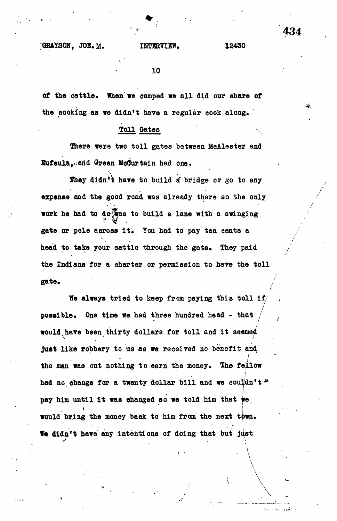**\**

**10**

**of the cattle. When' we oamped we all did our share of the cooking as we didn\*t have a regular cook along.**

## **Toll Gates**

**There were two toll gates between MoAlester and Bufaula,i;aiid Green Motor tain had one.**

They didn't have to build a bridge or go to any **expense and the good road was already there so the only '** work he had to do was to build a lane with a swinging **gate or pole across it. You had to pay ten cents a** head to take your cattle through the gate. They paid **the Indians for a charter or permission to have the toll gate. /**

**We always tried to keep from paying this toll if/ possible. One time we had three hundred head - that / would have been thirty dollars for toll and it seemed** just like robbery to us as we received no benefit and the man was out nothing to earn the money. The fellow had no change for a twenty dollar bill and we couldn't." **had no change for a twenty dollar bill and we couldn't\* pay him until it was changed so we told him that** would bring the money back to him from the next town. We didn't have any intentions of doing that but just

**We didn't have any intentions of doing that but Just**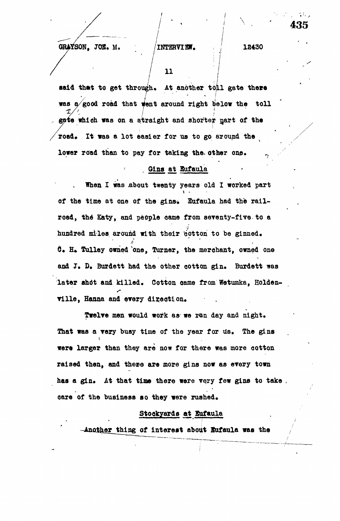**435**

**j " •• I** was a good road that went around right below the toll gate which was on a straight and shorter part of the road. It was a lot easier for us to go around the lower road than to pay for taking the other one.

## <u>**Gins at Eufaula**</u>

When I was about twenty years old I worked part of the time at one of the gins. Eufaula had the railroad, the Katy, and people came from seventy-five to a hundred miles around with their cotton to be ginned. **C.** H. Tulley owned one, Turner, the merchant, owned one and J. D. Burdett had the other cotton gin. Burdett was later shot and killed. Cotton came from Wetumka, Holden**and J\* D\* Burdett had the other cotton gin\* Burdett was**

**later shdt and killed\* Cotton oame from Wetumka, Holden-Twelve men would work as we ran day and night\*** were larger than they are now for there was more cotton **That was a very busy time of the year for us\* The gins were larger than they are now for there was more cotton** has a gin. At that time there were very few gins to take. **raised then, and these axe more gins now as every town** care of the business so they were rushed.

### Stockyards at Eufaula

Stockyards at Bufaula<sup>a</sup>rds at Bufaula<sup>a</sup>rds at the Maria Stockyards at the Maria Maria Maria Maria Maria Maria Ma

**ter thing of interest about Bufaula was the /**

**care of the business so they were rushed\*** Another thing of interest about Eufaula was the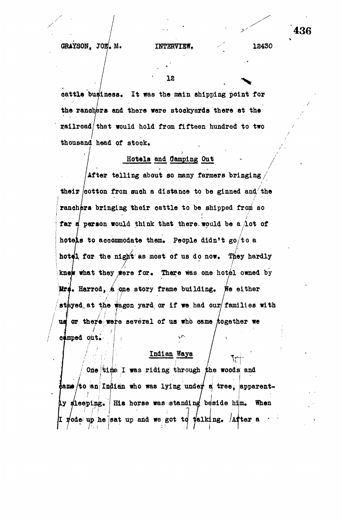**18**

**cattle business. It was the main shipping point for** the ranchers and there were stockyards there at the **railroad/that would hold from fifteen hundred to two** thousand head of stock.

## Hotels and Camping Out

**After telling about so many farmers bringing/ their /cotton from suoh a distance to be ginned and the / ranchers bringing their cattle to be shipped from so far d person would think that there, would be a Aot of hotels to acoommodate them\* People didn<sup>f</sup>t go/to a** hotel for the night as most of us do now. They hardly knew what they were for. There was one hotel owned by **A ' f Mrs.** Harrod, A one story frame building. We either **/stayed.,at tbj yard, or if we had our/families with** camped out. us or there were several of us who came together we

## **Indian Ways**

One time I was riding through the woods and **pleeping.** His horse was standing beside him. When to an Indian who was lying under a tree, apparentrode up he sat up and we got td talking. After a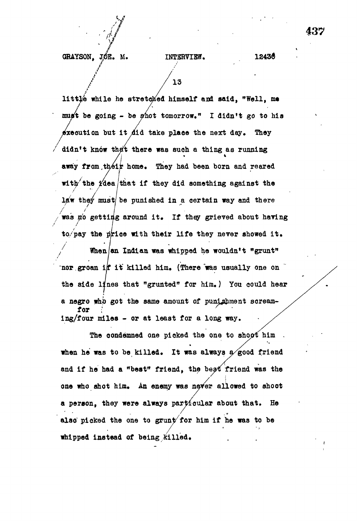#### **INTERVIEW. 12436**

GRAYSON, JÓE. M.

**/ / 13**

littlé while he stretched himself and said, "Well, me **must be going - be shot tomorrow." I didn't go to his sxecution but it did take place the next day. They / didn't know theft there was such a thing as running away from .their home. They had been born and reared with<sup>7</sup> the ifdea/that if they did something against the la7 \* they must/be punished in a certain way and there was no getting around it. If they grieved about having** to pay the price with their life they never showed it. When an Indian was whipped he wouldn't "grunt"

**hor groan it it killed him. (There was usually one on**  $\tilde{ }$ the side lines that "grunted" for him.) You could hear a negro who got the same amount of punishment scream**a negro whb got the same amount of pun^hment soream-** $\mathbf{r}$  our  $\mathbf{r}$ 

**ing/four miles - or at least for a long way. The condemned one picked the one to shopf him .** */* **when he was to be killed. It was always a good friend** and if he had a "best" friend, the best friend was the **one who shot him. An enemy was never allowed to shoot a person, they were always particular about that. He also' picked the one to grunt/for him if he was to be whipped instead of being killed.**

**437**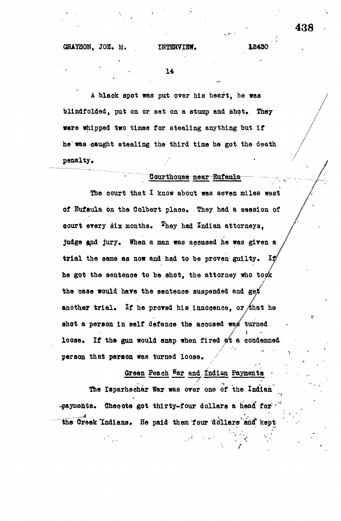**14**

**A blaok spot was put over his heart, be was** blindfolded, put on or set on a stump and shot. They **were whipped two times for stealing anything but if he was -caught stealing the third time he got the death penalty.**

## Courthouse near Eufaula

The court that I know about was seven miles west **of Eufaula on the Colbert place. They had a session of oourt every six months, ^hey had Indian attorneys,** judge and jury. When a man was accused he was given a **trial the same as now and had to be proven guilty,** IJ **he got the sentence to be shot, the attorney who to the case would have the sentence suspended and ge** another trial. If he proved his innocence, or that he shot a person in self defence the accused was turned i If the gun would snap when fired at a condemned.  $10086.$ person that person was turned loose.

Green Peach War and Indian Payments **Green Peach** The Isparhechar War was over one of the Indian **The Isparhechar War was over one of the Indian** payments. Checote got thirty-four dollars a head for **-payments. Oheoote got thirty-four dollars a head' for\*** the Creek Indians. He paid them four dollars and kept **"the Greek Indians\* He paid them four 'dollars ana kept,**

**person that person was turned loose. /**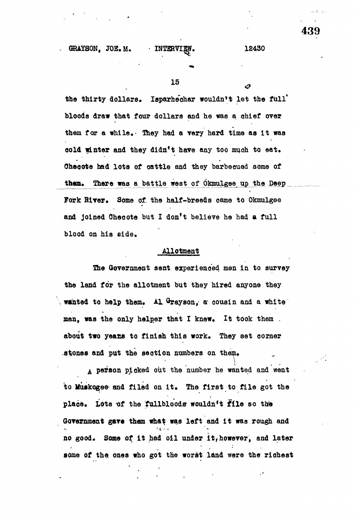the thirty dollars. Isparhechar wouldn't let the full<sup>'</sup> **bloods draw that four dollars and he was a chief over them for a while.- they had a very hard time as It was eold winter and they didn't have any too muoh to eat, Oheoote had lots of cattle and they barbecued some of** them. There was a battle west of Okmulgee up the Deep **Fork River, Some of. the half-breeds oame to Okmulgee and joined Oheoote but I don't believe he had a full blood on his side.**

#### **Allotment**

**The Government sent experienced men in to survey the land for the allotment but they hired anyone they wanted to help them. Al Grayson, a cousin and a white man, was the only helper that I knew. It took them . about two yeacs to finish this work. They set corner .stones and put the section numbers on them,**

**A person picked out the number he wanted and went to Muakogee and filed on it. The first to file got the** place. Lots of the fullbloods wouldn't file so the **Government gave them what was left and it was rough and no good. Some of It had oil under it,however, and later some of the ones who got the worst land were the richest**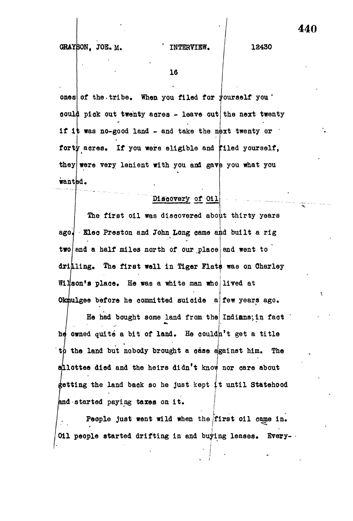#### **INTERVIEW.**

**12430**

**16**

**ones** of the tribe. When you filed for  $\psi$  ourself you  $\psi$ **eoul< I pick out twenty acres - leave out the next twenty if it was no-good land - and take the next twenty or** forty acres. If you were eligible and filed yourself, they were very lenient with you and gave you what you wanted.

## Discovery of 0il

The first oil was discovered about thirty years ago. Eleo Preston and John Long came and built a rig  $\tan \alpha$  and a half miles north of our place and went to drilling. The first well in Tiger Flats was on Charley Wilson's place. He was a white man who lived at Okmulgee before he committed suicide a few years ago.

He had bought some land from the Indians; in fact he owned quité a bit of land. He couldn't get a title th the land but nobody brought a case egainst him. The allottee died and the heirs didn't know nor care about getting the land back so he just kept it until Statehood and started paying taxes on it.

People just went wild when the first oil came in. Oil people started drifting in and buying leases. Every-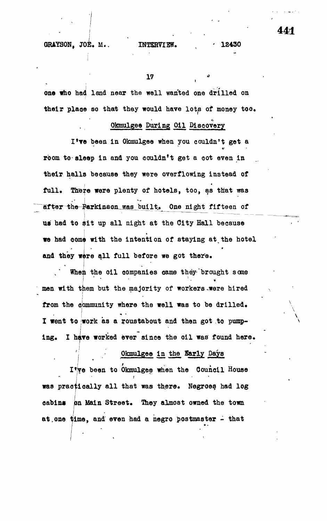17

one who had land near the well wanted one drilled on **their place so that they would have lots of money too.**

### **Okmulgee During Oil Dlaoovery**

**I\*ve been in Okmulgee when you couldn't get a room to sleep in and you couldn't get a oot even in their halls beoause they were overflowing instead of** i • **full. There were plenty of hotels, too, as that was** in the contract of the contract of the contract of the contract of after the Parkinson was built. One night fifteen of us had to sit up all night at the City Hall because **we** had oome with the intention of staying at,the hotel **and** they **were** 8,11 full before **we** got there.

When the oil companies came they brought some • • it men with them but the majority of workers were hired from the community where the well was to be drilled. I went to work as a roustabout and then got to pump-**Ing. I have worked ever since the oil was found here.**

Okmulgee in the **Sarly** Days

**I'jve been to Okmulgee when the Council House was practically all that was there. Negroes had log cabins on Main Street. They almost owned the town** at.one time, and even had a negro postmaster - that

**441**